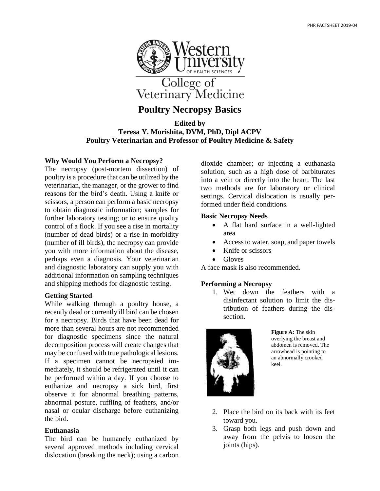

# **Poultry Necropsy Basics**

**Edited by Teresa Y. Morishita, DVM, PhD, Dipl ACPV Poultry Veterinarian and Professor of Poultry Medicine & Safety**

## **Why Would You Perform a Necropsy?**

The necropsy (post-mortem dissection) of poultry is a procedure that can be utilized by the veterinarian, the manager, or the grower to find reasons for the bird's death. Using a knife or scissors, a person can perform a basic necropsy to obtain diagnostic information; samples for further laboratory testing; or to ensure quality control of a flock. If you see a rise in mortality (number of dead birds) or a rise in morbidity (number of ill birds), the necropsy can provide you with more information about the disease, perhaps even a diagnosis. Your veterinarian and diagnostic laboratory can supply you with additional information on sampling techniques and shipping methods for diagnostic testing.

## **Getting Started**

While walking through a poultry house, a recently dead or currently ill bird can be chosen for a necropsy. Birds that have been dead for more than several hours are not recommended for diagnostic specimens since the natural decomposition process will create changes that may be confused with true pathological lesions. If a specimen cannot be necropsied immediately, it should be refrigerated until it can be performed within a day. If you choose to euthanize and necropsy a sick bird, first observe it for abnormal breathing patterns, abnormal posture, ruffling of feathers, and/or nasal or ocular discharge before euthanizing the bird.

#### **Euthanasia**

The bird can be humanely euthanized by several approved methods including cervical dislocation (breaking the neck); using a carbon dioxide chamber; or injecting a euthanasia solution, such as a high dose of barbiturates into a vein or directly into the heart. The last two methods are for laboratory or clinical settings. Cervical dislocation is usually performed under field conditions.

#### **Basic Necropsy Needs**

- A flat hard surface in a well-lighted area
- Access to water, soap, and paper towels
- Knife or scissors
- Gloves

A face mask is also recommended.

#### **Performing a Necropsy**

1. Wet down the feathers with a disinfectant solution to limit the distribution of feathers during the dissection.



**Figure A:** The skin overlying the breast and abdomen is removed. The arrowhead is pointing to an abnormally crooked keel.

- 2. Place the bird on its back with its feet toward you.
- 3. Grasp both legs and push down and away from the pelvis to loosen the joints (hips).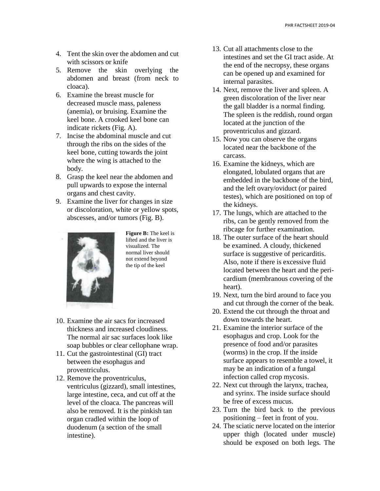- 4. Tent the skin over the abdomen and cut with scissors or knife
- 5. Remove the skin overlying the abdomen and breast (from neck to cloaca).
- 6. Examine the breast muscle for decreased muscle mass, paleness (anemia), or bruising. Examine the keel bone. A crooked keel bone can indicate rickets (Fig. A).
- 7. Incise the abdominal muscle and cut through the ribs on the sides of the keel bone, cutting towards the joint where the wing is attached to the body.
- 8. Grasp the keel near the abdomen and pull upwards to expose the internal organs and chest cavity.
- 9. Examine the liver for changes in size or discoloration, white or yellow spots, abscesses, and/or tumors (Fig. B).



**Figure B:** The keel is lifted and the liver is visualized. The normal liver should not extend beyond the tip of the keel

- 10. Examine the air sacs for increased thickness and increased cloudiness. The normal air sac surfaces look like soap bubbles or clear cellophane wrap.
- 11. Cut the gastrointestinal (GI) tract between the esophagus and proventriculus.
- 12. Remove the proventriculus, ventriculus (gizzard), small intestines, large intestine, ceca, and cut off at the level of the cloaca. The pancreas will also be removed. It is the pinkish tan organ cradled within the loop of duodenum (a section of the small intestine).
- 13. Cut all attachments close to the intestines and set the GI tract aside. At the end of the necropsy, these organs can be opened up and examined for internal parasites.
- 14. Next, remove the liver and spleen. A green discoloration of the liver near the gall bladder is a normal finding. The spleen is the reddish, round organ located at the junction of the proventriculus and gizzard.
- 15. Now you can observe the organs located near the backbone of the carcass.
- 16. Examine the kidneys, which are elongated, lobulated organs that are embedded in the backbone of the bird, and the left ovary/oviduct (or paired testes), which are positioned on top of the kidneys.
- 17. The lungs, which are attached to the ribs, can be gently removed from the ribcage for further examination.
- 18. The outer surface of the heart should be examined. A cloudy, thickened surface is suggestive of pericarditis. Also, note if there is excessive fluid located between the heart and the pericardium (membranous covering of the heart).
- 19. Next, turn the bird around to face you and cut through the corner of the beak.
- 20. Extend the cut through the throat and down towards the heart.
- 21. Examine the interior surface of the esophagus and crop. Look for the presence of food and/or parasites (worms) in the crop. If the inside surface appears to resemble a towel, it may be an indication of a fungal infection called crop mycosis.
- 22. Next cut through the larynx, trachea, and syrinx. The inside surface should be free of excess mucus.
- 23. Turn the bird back to the previous positioning – feet in front of you.
- 24. The sciatic nerve located on the interior upper thigh (located under muscle) should be exposed on both legs. The